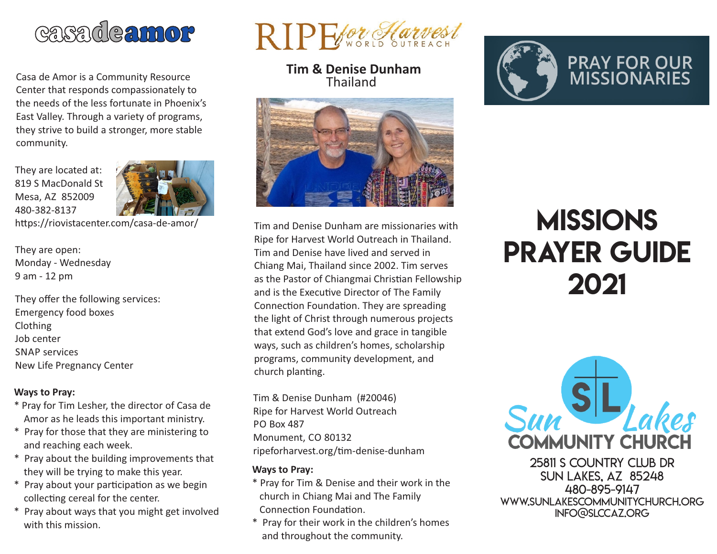

Casa de Amor is a Community Resource Center that responds compassionately to the needs of the less fortunate in Phoenix's East Valley. Through a variety of programs, they strive to build a stronger, more stable community.

They are located at: 819 S MacDonald St Mesa, AZ 852009 480-382-8137



https://riovistacenter.com/casa-de-amor/

They are open: Monday - Wednesday 9 am - 12 pm

They offer the following services: Emergency food boxes Clothing Job center SNAP services New Life Pregnancy Center

#### **Ways to Pray:**

- \* Pray for Tim Lesher, the director of Casa de Amor as he leads this important ministry.
- \* Pray for those that they are ministering to and reaching each week.
- \* Pray about the building improvements that they will be trying to make this year.
- \* Pray about your participation as we begin collecting cereal for the center.
- \* Pray about ways that you might get involved with this mission.



**Tim & Denise Dunham** Thailand



Tim and Denise Dunham are missionaries with Ripe for Harvest World Outreach in Thailand. Tim and Denise have lived and served in Chiang Mai, Thailand since 2002. Tim serves as the Pastor of Chiangmai Christian Fellowship and is the Executive Director of The Family Connection Foundation. They are spreading the light of Christ through numerous projects that extend God's love and grace in tangible ways, such as children's homes, scholarship programs, community development, and church planting.

Tim & Denise Dunham (#20046) Ripe for Harvest World Outreach PO Box 487 Monument, CO 80132 ripeforharvest.org/tim-denise-dunham

#### **Ways to Pray:**

- \* Pray for Tim & Denise and their work in the church in Chiang Mai and The Family Connection Foundation.
- \* Pray for their work in the children's homes and throughout the community.



# **MISSIONS** Prayer Guide 2021



25811 S Country Club Dr Sun Lakes, AZ 85248 480-895-9147 www.sunlakescommunitychurch.org info@slccaz.org